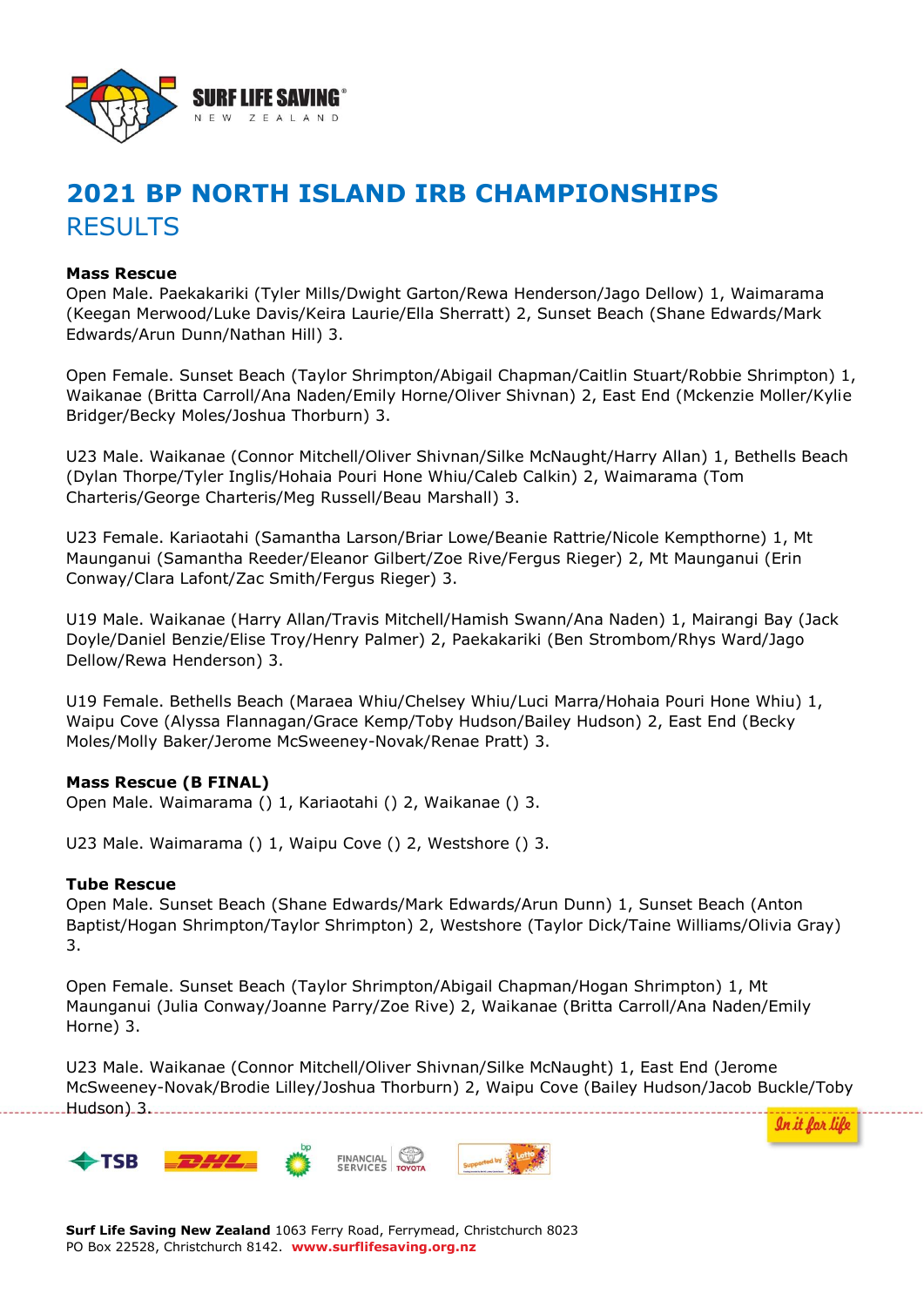

# **2021 BP NORTH ISLAND IRB CHAMPIONSHIPS** RESULTS

## **Mass Rescue**

Open Male. Paekakariki (Tyler Mills/Dwight Garton/Rewa Henderson/Jago Dellow) 1, Waimarama (Keegan Merwood/Luke Davis/Keira Laurie/Ella Sherratt) 2, Sunset Beach (Shane Edwards/Mark Edwards/Arun Dunn/Nathan Hill) 3.

Open Female. Sunset Beach (Taylor Shrimpton/Abigail Chapman/Caitlin Stuart/Robbie Shrimpton) 1, Waikanae (Britta Carroll/Ana Naden/Emily Horne/Oliver Shivnan) 2, East End (Mckenzie Moller/Kylie Bridger/Becky Moles/Joshua Thorburn) 3.

U23 Male. Waikanae (Connor Mitchell/Oliver Shivnan/Silke McNaught/Harry Allan) 1, Bethells Beach (Dylan Thorpe/Tyler Inglis/Hohaia Pouri Hone Whiu/Caleb Calkin) 2, Waimarama (Tom Charteris/George Charteris/Meg Russell/Beau Marshall) 3.

U23 Female. Kariaotahi (Samantha Larson/Briar Lowe/Beanie Rattrie/Nicole Kempthorne) 1, Mt Maunganui (Samantha Reeder/Eleanor Gilbert/Zoe Rive/Fergus Rieger) 2, Mt Maunganui (Erin Conway/Clara Lafont/Zac Smith/Fergus Rieger) 3.

U19 Male. Waikanae (Harry Allan/Travis Mitchell/Hamish Swann/Ana Naden) 1, Mairangi Bay (Jack Doyle/Daniel Benzie/Elise Troy/Henry Palmer) 2, Paekakariki (Ben Strombom/Rhys Ward/Jago Dellow/Rewa Henderson) 3.

U19 Female. Bethells Beach (Maraea Whiu/Chelsey Whiu/Luci Marra/Hohaia Pouri Hone Whiu) 1, Waipu Cove (Alyssa Flannagan/Grace Kemp/Toby Hudson/Bailey Hudson) 2, East End (Becky Moles/Molly Baker/Jerome McSweeney-Novak/Renae Pratt) 3.

# **Mass Rescue (B FINAL)**

Open Male. Waimarama () 1, Kariaotahi () 2, Waikanae () 3.

U23 Male. Waimarama () 1, Waipu Cove () 2, Westshore () 3.

## **Tube Rescue**

Open Male. Sunset Beach (Shane Edwards/Mark Edwards/Arun Dunn) 1, Sunset Beach (Anton Baptist/Hogan Shrimpton/Taylor Shrimpton) 2, Westshore (Taylor Dick/Taine Williams/Olivia Gray) 3.

Open Female. Sunset Beach (Taylor Shrimpton/Abigail Chapman/Hogan Shrimpton) 1, Mt Maunganui (Julia Conway/Joanne Parry/Zoe Rive) 2, Waikanae (Britta Carroll/Ana Naden/Emily Horne) 3.

U23 Male. Waikanae (Connor Mitchell/Oliver Shivnan/Silke McNaught) 1, East End (Jerome McSweeney-Novak/Brodie Lilley/Joshua Thorburn) 2, Waipu Cove (Bailey Hudson/Jacob Buckle/Toby Hudson) 3.



In it for life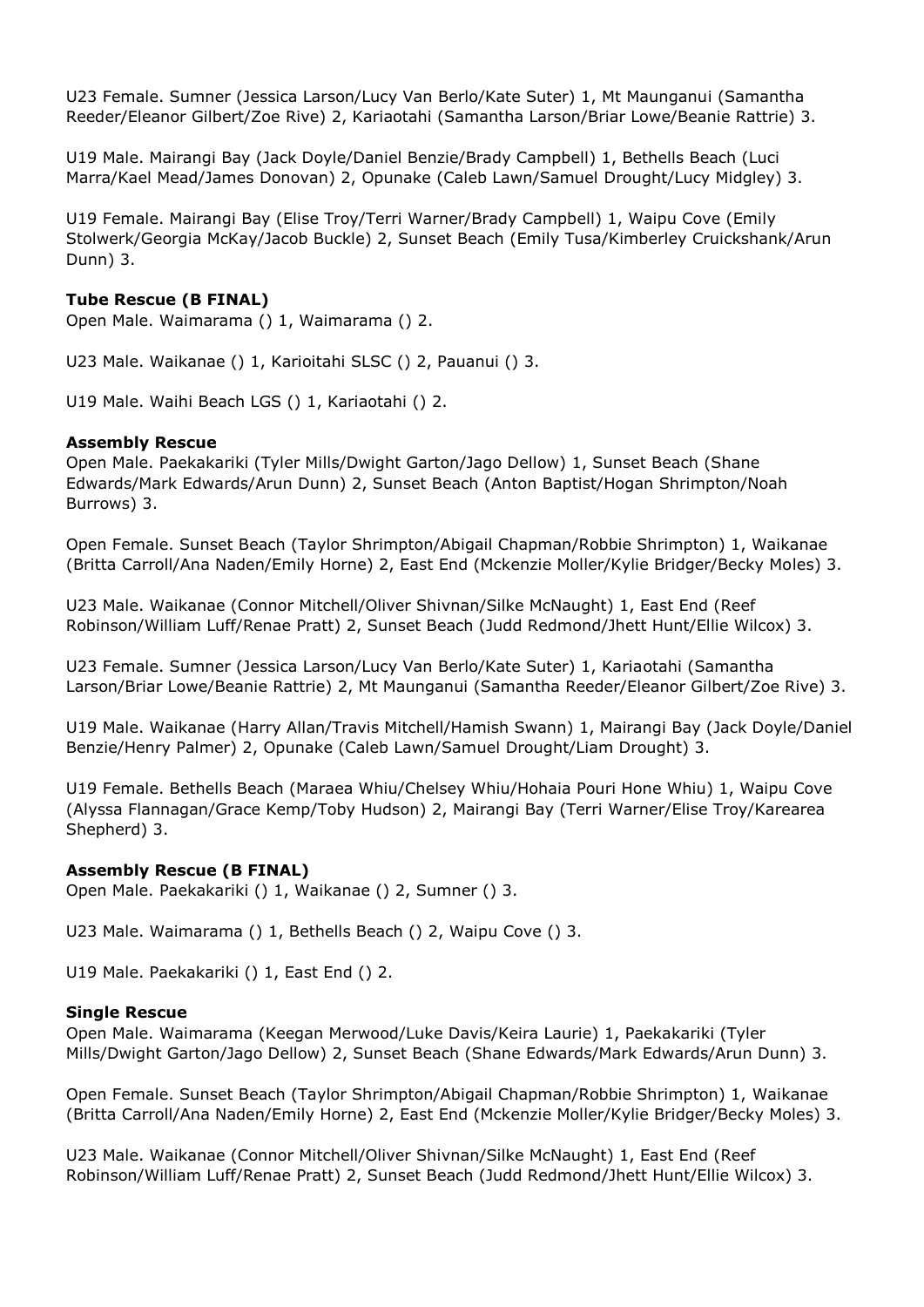U23 Female. Sumner (Jessica Larson/Lucy Van Berlo/Kate Suter) 1, Mt Maunganui (Samantha Reeder/Eleanor Gilbert/Zoe Rive) 2, Kariaotahi (Samantha Larson/Briar Lowe/Beanie Rattrie) 3.

U19 Male. Mairangi Bay (Jack Doyle/Daniel Benzie/Brady Campbell) 1, Bethells Beach (Luci Marra/Kael Mead/James Donovan) 2, Opunake (Caleb Lawn/Samuel Drought/Lucy Midgley) 3.

U19 Female. Mairangi Bay (Elise Troy/Terri Warner/Brady Campbell) 1, Waipu Cove (Emily Stolwerk/Georgia McKay/Jacob Buckle) 2, Sunset Beach (Emily Tusa/Kimberley Cruickshank/Arun Dunn) 3.

# **Tube Rescue (B FINAL)**

Open Male. Waimarama () 1, Waimarama () 2.

U23 Male. Waikanae () 1, Karioitahi SLSC () 2, Pauanui () 3.

U19 Male. Waihi Beach LGS () 1, Kariaotahi () 2.

## **Assembly Rescue**

Open Male. Paekakariki (Tyler Mills/Dwight Garton/Jago Dellow) 1, Sunset Beach (Shane Edwards/Mark Edwards/Arun Dunn) 2, Sunset Beach (Anton Baptist/Hogan Shrimpton/Noah Burrows) 3.

Open Female. Sunset Beach (Taylor Shrimpton/Abigail Chapman/Robbie Shrimpton) 1, Waikanae (Britta Carroll/Ana Naden/Emily Horne) 2, East End (Mckenzie Moller/Kylie Bridger/Becky Moles) 3.

U23 Male. Waikanae (Connor Mitchell/Oliver Shivnan/Silke McNaught) 1, East End (Reef Robinson/William Luff/Renae Pratt) 2, Sunset Beach (Judd Redmond/Jhett Hunt/Ellie Wilcox) 3.

U23 Female. Sumner (Jessica Larson/Lucy Van Berlo/Kate Suter) 1, Kariaotahi (Samantha Larson/Briar Lowe/Beanie Rattrie) 2, Mt Maunganui (Samantha Reeder/Eleanor Gilbert/Zoe Rive) 3.

U19 Male. Waikanae (Harry Allan/Travis Mitchell/Hamish Swann) 1, Mairangi Bay (Jack Doyle/Daniel Benzie/Henry Palmer) 2, Opunake (Caleb Lawn/Samuel Drought/Liam Drought) 3.

U19 Female. Bethells Beach (Maraea Whiu/Chelsey Whiu/Hohaia Pouri Hone Whiu) 1, Waipu Cove (Alyssa Flannagan/Grace Kemp/Toby Hudson) 2, Mairangi Bay (Terri Warner/Elise Troy/Karearea Shepherd) 3.

# **Assembly Rescue (B FINAL)**

Open Male. Paekakariki () 1, Waikanae () 2, Sumner () 3.

U23 Male. Waimarama () 1, Bethells Beach () 2, Waipu Cove () 3.

U19 Male. Paekakariki () 1, East End () 2.

## **Single Rescue**

Open Male. Waimarama (Keegan Merwood/Luke Davis/Keira Laurie) 1, Paekakariki (Tyler Mills/Dwight Garton/Jago Dellow) 2, Sunset Beach (Shane Edwards/Mark Edwards/Arun Dunn) 3.

Open Female. Sunset Beach (Taylor Shrimpton/Abigail Chapman/Robbie Shrimpton) 1, Waikanae (Britta Carroll/Ana Naden/Emily Horne) 2, East End (Mckenzie Moller/Kylie Bridger/Becky Moles) 3.

U23 Male. Waikanae (Connor Mitchell/Oliver Shivnan/Silke McNaught) 1, East End (Reef Robinson/William Luff/Renae Pratt) 2, Sunset Beach (Judd Redmond/Jhett Hunt/Ellie Wilcox) 3.